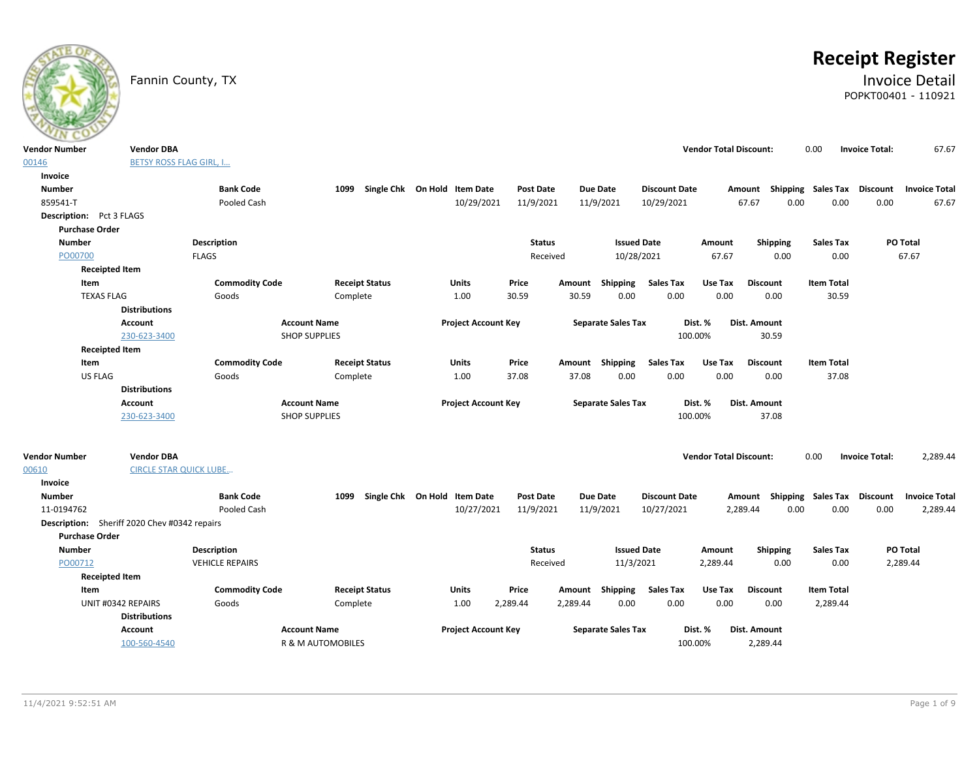

# **Receipt Register**

# Fannin County, TX **Invoice Detail** POPKT00401 - 110921

| <b>BETSY ROSS FLAG GIRL, I</b><br>00146<br>Invoice<br><b>Number</b><br><b>Bank Code</b><br>Single Chk On Hold Item Date<br><b>Post Date</b><br><b>Due Date</b><br><b>Discount Date</b><br><b>Shipping Sales Tax</b><br><b>Discount</b><br><b>Invoice Total</b><br>1099<br>Amount<br>859541-T<br>Pooled Cash<br>10/29/2021<br>11/9/2021<br>11/9/2021<br>10/29/2021<br>67.67<br>0.00<br>0.00<br>0.00<br>67.67<br>Description: Pct 3 FLAGS<br><b>Purchase Order</b><br>PO Total<br><b>Number</b><br><b>Description</b><br><b>Status</b><br><b>Issued Date</b><br>Shipping<br><b>Sales Tax</b><br>Amount<br>0.00<br>67.67<br>PO00700<br><b>FLAGS</b><br>Received<br>10/28/2021<br>67.67<br>0.00<br><b>Receipted Item</b><br><b>Commodity Code</b><br><b>Receipt Status</b><br><b>Sales Tax</b><br><b>Discount</b><br><b>Item Total</b><br>Item<br><b>Units</b><br>Price<br>Amount<br>Shipping<br>Use Tax<br><b>TEXAS FLAG</b><br>30.59<br>0.00<br>0.00<br>0.00<br>30.59<br>Goods<br>Complete<br>1.00<br>30.59<br>0.00<br><b>Distributions</b><br><b>Account Name</b><br><b>Project Account Key</b><br><b>Separate Sales Tax</b><br>Dist. %<br>Dist. Amount<br><b>Account</b><br><b>SHOP SUPPLIES</b><br>100.00%<br>30.59<br>230-623-3400<br><b>Receipted Item</b><br><b>Commodity Code</b><br>Amount Shipping<br><b>Sales Tax</b><br><b>Discount</b><br>Item<br><b>Receipt Status</b><br>Units<br>Price<br>Use Tax<br><b>Item Total</b><br>US FLAG<br>37.08<br>37.08<br>0.00<br>0.00<br>0.00<br>0.00<br>37.08<br>Complete<br>1.00<br>Goods<br><b>Distributions</b><br><b>Account Name</b><br><b>Account</b><br><b>Project Account Key</b><br><b>Separate Sales Tax</b><br>Dist. %<br>Dist. Amount<br>230-623-3400<br><b>SHOP SUPPLIES</b><br>100.00%<br>37.08<br><b>Vendor DBA</b><br><b>Vendor Total Discount:</b><br><b>Invoice Total:</b><br>2,289.44<br><b>Vendor Number</b><br>0.00<br><b>CIRCLE STAR QUICK LUBE</b><br>00610<br>Invoice<br>Single Chk On Hold Item Date<br><b>Number</b><br><b>Bank Code</b><br>1099<br>Post Date<br>Due Date<br><b>Discount Date</b><br>Amount Shipping<br>Sales Tax<br>Discount<br><b>Invoice Total</b><br>0.00<br>11-0194762<br>Pooled Cash<br>10/27/2021<br>11/9/2021<br>11/9/2021<br>10/27/2021<br>2,289.44<br>0.00<br>0.00<br>2,289.44<br>Description: Sheriff 2020 Chev #0342 repairs<br><b>Purchase Order</b><br><b>Issued Date</b><br>PO Total<br><b>Number</b><br><b>Description</b><br><b>Status</b><br>Shipping<br><b>Sales Tax</b><br>Amount<br>PO00712<br><b>VEHICLE REPAIRS</b><br>Received<br>11/3/2021<br>2,289.44<br>0.00<br>0.00<br>2,289.44<br><b>Receipted Item</b><br><b>Commodity Code</b><br>Item<br><b>Receipt Status</b><br><b>Units</b><br>Price<br>Shipping<br><b>Sales Tax</b><br>Use Tax<br><b>Discount</b><br><b>Item Total</b><br>Amount<br>0.00<br>0.00<br>UNIT #0342 REPAIRS<br>1.00<br>2,289.44<br>2,289.44<br>0.00<br>0.00<br>2,289.44<br>Goods<br>Complete<br><b>Distributions</b><br><b>Account Name</b><br><b>Project Account Key</b><br><b>Separate Sales Tax</b><br><b>Account</b><br>Dist. %<br>Dist. Amount | <b>Vendor Number</b> | <b>Vendor DBA</b> |  |  |  | <b>Vendor Total Discount:</b> | 0.00 | <b>Invoice Total:</b> | 67.67 |
|------------------------------------------------------------------------------------------------------------------------------------------------------------------------------------------------------------------------------------------------------------------------------------------------------------------------------------------------------------------------------------------------------------------------------------------------------------------------------------------------------------------------------------------------------------------------------------------------------------------------------------------------------------------------------------------------------------------------------------------------------------------------------------------------------------------------------------------------------------------------------------------------------------------------------------------------------------------------------------------------------------------------------------------------------------------------------------------------------------------------------------------------------------------------------------------------------------------------------------------------------------------------------------------------------------------------------------------------------------------------------------------------------------------------------------------------------------------------------------------------------------------------------------------------------------------------------------------------------------------------------------------------------------------------------------------------------------------------------------------------------------------------------------------------------------------------------------------------------------------------------------------------------------------------------------------------------------------------------------------------------------------------------------------------------------------------------------------------------------------------------------------------------------------------------------------------------------------------------------------------------------------------------------------------------------------------------------------------------------------------------------------------------------------------------------------------------------------------------------------------------------------------------------------------------------------------------------------------------------------------------------------------------------------------------------------------------------------------------------------------------------------------------------------------------------------------------------------------------------------------------------------------------------------------------------------------------------------------------------------------------------------------------------------------------------------------------------------|----------------------|-------------------|--|--|--|-------------------------------|------|-----------------------|-------|
|                                                                                                                                                                                                                                                                                                                                                                                                                                                                                                                                                                                                                                                                                                                                                                                                                                                                                                                                                                                                                                                                                                                                                                                                                                                                                                                                                                                                                                                                                                                                                                                                                                                                                                                                                                                                                                                                                                                                                                                                                                                                                                                                                                                                                                                                                                                                                                                                                                                                                                                                                                                                                                                                                                                                                                                                                                                                                                                                                                                                                                                                                          |                      |                   |  |  |  |                               |      |                       |       |
|                                                                                                                                                                                                                                                                                                                                                                                                                                                                                                                                                                                                                                                                                                                                                                                                                                                                                                                                                                                                                                                                                                                                                                                                                                                                                                                                                                                                                                                                                                                                                                                                                                                                                                                                                                                                                                                                                                                                                                                                                                                                                                                                                                                                                                                                                                                                                                                                                                                                                                                                                                                                                                                                                                                                                                                                                                                                                                                                                                                                                                                                                          |                      |                   |  |  |  |                               |      |                       |       |
|                                                                                                                                                                                                                                                                                                                                                                                                                                                                                                                                                                                                                                                                                                                                                                                                                                                                                                                                                                                                                                                                                                                                                                                                                                                                                                                                                                                                                                                                                                                                                                                                                                                                                                                                                                                                                                                                                                                                                                                                                                                                                                                                                                                                                                                                                                                                                                                                                                                                                                                                                                                                                                                                                                                                                                                                                                                                                                                                                                                                                                                                                          |                      |                   |  |  |  |                               |      |                       |       |
|                                                                                                                                                                                                                                                                                                                                                                                                                                                                                                                                                                                                                                                                                                                                                                                                                                                                                                                                                                                                                                                                                                                                                                                                                                                                                                                                                                                                                                                                                                                                                                                                                                                                                                                                                                                                                                                                                                                                                                                                                                                                                                                                                                                                                                                                                                                                                                                                                                                                                                                                                                                                                                                                                                                                                                                                                                                                                                                                                                                                                                                                                          |                      |                   |  |  |  |                               |      |                       |       |
|                                                                                                                                                                                                                                                                                                                                                                                                                                                                                                                                                                                                                                                                                                                                                                                                                                                                                                                                                                                                                                                                                                                                                                                                                                                                                                                                                                                                                                                                                                                                                                                                                                                                                                                                                                                                                                                                                                                                                                                                                                                                                                                                                                                                                                                                                                                                                                                                                                                                                                                                                                                                                                                                                                                                                                                                                                                                                                                                                                                                                                                                                          |                      |                   |  |  |  |                               |      |                       |       |
|                                                                                                                                                                                                                                                                                                                                                                                                                                                                                                                                                                                                                                                                                                                                                                                                                                                                                                                                                                                                                                                                                                                                                                                                                                                                                                                                                                                                                                                                                                                                                                                                                                                                                                                                                                                                                                                                                                                                                                                                                                                                                                                                                                                                                                                                                                                                                                                                                                                                                                                                                                                                                                                                                                                                                                                                                                                                                                                                                                                                                                                                                          |                      |                   |  |  |  |                               |      |                       |       |
|                                                                                                                                                                                                                                                                                                                                                                                                                                                                                                                                                                                                                                                                                                                                                                                                                                                                                                                                                                                                                                                                                                                                                                                                                                                                                                                                                                                                                                                                                                                                                                                                                                                                                                                                                                                                                                                                                                                                                                                                                                                                                                                                                                                                                                                                                                                                                                                                                                                                                                                                                                                                                                                                                                                                                                                                                                                                                                                                                                                                                                                                                          |                      |                   |  |  |  |                               |      |                       |       |
|                                                                                                                                                                                                                                                                                                                                                                                                                                                                                                                                                                                                                                                                                                                                                                                                                                                                                                                                                                                                                                                                                                                                                                                                                                                                                                                                                                                                                                                                                                                                                                                                                                                                                                                                                                                                                                                                                                                                                                                                                                                                                                                                                                                                                                                                                                                                                                                                                                                                                                                                                                                                                                                                                                                                                                                                                                                                                                                                                                                                                                                                                          |                      |                   |  |  |  |                               |      |                       |       |
|                                                                                                                                                                                                                                                                                                                                                                                                                                                                                                                                                                                                                                                                                                                                                                                                                                                                                                                                                                                                                                                                                                                                                                                                                                                                                                                                                                                                                                                                                                                                                                                                                                                                                                                                                                                                                                                                                                                                                                                                                                                                                                                                                                                                                                                                                                                                                                                                                                                                                                                                                                                                                                                                                                                                                                                                                                                                                                                                                                                                                                                                                          |                      |                   |  |  |  |                               |      |                       |       |
|                                                                                                                                                                                                                                                                                                                                                                                                                                                                                                                                                                                                                                                                                                                                                                                                                                                                                                                                                                                                                                                                                                                                                                                                                                                                                                                                                                                                                                                                                                                                                                                                                                                                                                                                                                                                                                                                                                                                                                                                                                                                                                                                                                                                                                                                                                                                                                                                                                                                                                                                                                                                                                                                                                                                                                                                                                                                                                                                                                                                                                                                                          |                      |                   |  |  |  |                               |      |                       |       |
|                                                                                                                                                                                                                                                                                                                                                                                                                                                                                                                                                                                                                                                                                                                                                                                                                                                                                                                                                                                                                                                                                                                                                                                                                                                                                                                                                                                                                                                                                                                                                                                                                                                                                                                                                                                                                                                                                                                                                                                                                                                                                                                                                                                                                                                                                                                                                                                                                                                                                                                                                                                                                                                                                                                                                                                                                                                                                                                                                                                                                                                                                          |                      |                   |  |  |  |                               |      |                       |       |
|                                                                                                                                                                                                                                                                                                                                                                                                                                                                                                                                                                                                                                                                                                                                                                                                                                                                                                                                                                                                                                                                                                                                                                                                                                                                                                                                                                                                                                                                                                                                                                                                                                                                                                                                                                                                                                                                                                                                                                                                                                                                                                                                                                                                                                                                                                                                                                                                                                                                                                                                                                                                                                                                                                                                                                                                                                                                                                                                                                                                                                                                                          |                      |                   |  |  |  |                               |      |                       |       |
|                                                                                                                                                                                                                                                                                                                                                                                                                                                                                                                                                                                                                                                                                                                                                                                                                                                                                                                                                                                                                                                                                                                                                                                                                                                                                                                                                                                                                                                                                                                                                                                                                                                                                                                                                                                                                                                                                                                                                                                                                                                                                                                                                                                                                                                                                                                                                                                                                                                                                                                                                                                                                                                                                                                                                                                                                                                                                                                                                                                                                                                                                          |                      |                   |  |  |  |                               |      |                       |       |
|                                                                                                                                                                                                                                                                                                                                                                                                                                                                                                                                                                                                                                                                                                                                                                                                                                                                                                                                                                                                                                                                                                                                                                                                                                                                                                                                                                                                                                                                                                                                                                                                                                                                                                                                                                                                                                                                                                                                                                                                                                                                                                                                                                                                                                                                                                                                                                                                                                                                                                                                                                                                                                                                                                                                                                                                                                                                                                                                                                                                                                                                                          |                      |                   |  |  |  |                               |      |                       |       |
|                                                                                                                                                                                                                                                                                                                                                                                                                                                                                                                                                                                                                                                                                                                                                                                                                                                                                                                                                                                                                                                                                                                                                                                                                                                                                                                                                                                                                                                                                                                                                                                                                                                                                                                                                                                                                                                                                                                                                                                                                                                                                                                                                                                                                                                                                                                                                                                                                                                                                                                                                                                                                                                                                                                                                                                                                                                                                                                                                                                                                                                                                          |                      |                   |  |  |  |                               |      |                       |       |
|                                                                                                                                                                                                                                                                                                                                                                                                                                                                                                                                                                                                                                                                                                                                                                                                                                                                                                                                                                                                                                                                                                                                                                                                                                                                                                                                                                                                                                                                                                                                                                                                                                                                                                                                                                                                                                                                                                                                                                                                                                                                                                                                                                                                                                                                                                                                                                                                                                                                                                                                                                                                                                                                                                                                                                                                                                                                                                                                                                                                                                                                                          |                      |                   |  |  |  |                               |      |                       |       |
|                                                                                                                                                                                                                                                                                                                                                                                                                                                                                                                                                                                                                                                                                                                                                                                                                                                                                                                                                                                                                                                                                                                                                                                                                                                                                                                                                                                                                                                                                                                                                                                                                                                                                                                                                                                                                                                                                                                                                                                                                                                                                                                                                                                                                                                                                                                                                                                                                                                                                                                                                                                                                                                                                                                                                                                                                                                                                                                                                                                                                                                                                          |                      |                   |  |  |  |                               |      |                       |       |
|                                                                                                                                                                                                                                                                                                                                                                                                                                                                                                                                                                                                                                                                                                                                                                                                                                                                                                                                                                                                                                                                                                                                                                                                                                                                                                                                                                                                                                                                                                                                                                                                                                                                                                                                                                                                                                                                                                                                                                                                                                                                                                                                                                                                                                                                                                                                                                                                                                                                                                                                                                                                                                                                                                                                                                                                                                                                                                                                                                                                                                                                                          |                      |                   |  |  |  |                               |      |                       |       |
|                                                                                                                                                                                                                                                                                                                                                                                                                                                                                                                                                                                                                                                                                                                                                                                                                                                                                                                                                                                                                                                                                                                                                                                                                                                                                                                                                                                                                                                                                                                                                                                                                                                                                                                                                                                                                                                                                                                                                                                                                                                                                                                                                                                                                                                                                                                                                                                                                                                                                                                                                                                                                                                                                                                                                                                                                                                                                                                                                                                                                                                                                          |                      |                   |  |  |  |                               |      |                       |       |
|                                                                                                                                                                                                                                                                                                                                                                                                                                                                                                                                                                                                                                                                                                                                                                                                                                                                                                                                                                                                                                                                                                                                                                                                                                                                                                                                                                                                                                                                                                                                                                                                                                                                                                                                                                                                                                                                                                                                                                                                                                                                                                                                                                                                                                                                                                                                                                                                                                                                                                                                                                                                                                                                                                                                                                                                                                                                                                                                                                                                                                                                                          |                      |                   |  |  |  |                               |      |                       |       |
|                                                                                                                                                                                                                                                                                                                                                                                                                                                                                                                                                                                                                                                                                                                                                                                                                                                                                                                                                                                                                                                                                                                                                                                                                                                                                                                                                                                                                                                                                                                                                                                                                                                                                                                                                                                                                                                                                                                                                                                                                                                                                                                                                                                                                                                                                                                                                                                                                                                                                                                                                                                                                                                                                                                                                                                                                                                                                                                                                                                                                                                                                          |                      |                   |  |  |  |                               |      |                       |       |
|                                                                                                                                                                                                                                                                                                                                                                                                                                                                                                                                                                                                                                                                                                                                                                                                                                                                                                                                                                                                                                                                                                                                                                                                                                                                                                                                                                                                                                                                                                                                                                                                                                                                                                                                                                                                                                                                                                                                                                                                                                                                                                                                                                                                                                                                                                                                                                                                                                                                                                                                                                                                                                                                                                                                                                                                                                                                                                                                                                                                                                                                                          |                      |                   |  |  |  |                               |      |                       |       |
|                                                                                                                                                                                                                                                                                                                                                                                                                                                                                                                                                                                                                                                                                                                                                                                                                                                                                                                                                                                                                                                                                                                                                                                                                                                                                                                                                                                                                                                                                                                                                                                                                                                                                                                                                                                                                                                                                                                                                                                                                                                                                                                                                                                                                                                                                                                                                                                                                                                                                                                                                                                                                                                                                                                                                                                                                                                                                                                                                                                                                                                                                          |                      |                   |  |  |  |                               |      |                       |       |
|                                                                                                                                                                                                                                                                                                                                                                                                                                                                                                                                                                                                                                                                                                                                                                                                                                                                                                                                                                                                                                                                                                                                                                                                                                                                                                                                                                                                                                                                                                                                                                                                                                                                                                                                                                                                                                                                                                                                                                                                                                                                                                                                                                                                                                                                                                                                                                                                                                                                                                                                                                                                                                                                                                                                                                                                                                                                                                                                                                                                                                                                                          |                      |                   |  |  |  |                               |      |                       |       |
|                                                                                                                                                                                                                                                                                                                                                                                                                                                                                                                                                                                                                                                                                                                                                                                                                                                                                                                                                                                                                                                                                                                                                                                                                                                                                                                                                                                                                                                                                                                                                                                                                                                                                                                                                                                                                                                                                                                                                                                                                                                                                                                                                                                                                                                                                                                                                                                                                                                                                                                                                                                                                                                                                                                                                                                                                                                                                                                                                                                                                                                                                          |                      |                   |  |  |  |                               |      |                       |       |
|                                                                                                                                                                                                                                                                                                                                                                                                                                                                                                                                                                                                                                                                                                                                                                                                                                                                                                                                                                                                                                                                                                                                                                                                                                                                                                                                                                                                                                                                                                                                                                                                                                                                                                                                                                                                                                                                                                                                                                                                                                                                                                                                                                                                                                                                                                                                                                                                                                                                                                                                                                                                                                                                                                                                                                                                                                                                                                                                                                                                                                                                                          |                      |                   |  |  |  |                               |      |                       |       |
|                                                                                                                                                                                                                                                                                                                                                                                                                                                                                                                                                                                                                                                                                                                                                                                                                                                                                                                                                                                                                                                                                                                                                                                                                                                                                                                                                                                                                                                                                                                                                                                                                                                                                                                                                                                                                                                                                                                                                                                                                                                                                                                                                                                                                                                                                                                                                                                                                                                                                                                                                                                                                                                                                                                                                                                                                                                                                                                                                                                                                                                                                          |                      |                   |  |  |  |                               |      |                       |       |
|                                                                                                                                                                                                                                                                                                                                                                                                                                                                                                                                                                                                                                                                                                                                                                                                                                                                                                                                                                                                                                                                                                                                                                                                                                                                                                                                                                                                                                                                                                                                                                                                                                                                                                                                                                                                                                                                                                                                                                                                                                                                                                                                                                                                                                                                                                                                                                                                                                                                                                                                                                                                                                                                                                                                                                                                                                                                                                                                                                                                                                                                                          |                      |                   |  |  |  |                               |      |                       |       |
|                                                                                                                                                                                                                                                                                                                                                                                                                                                                                                                                                                                                                                                                                                                                                                                                                                                                                                                                                                                                                                                                                                                                                                                                                                                                                                                                                                                                                                                                                                                                                                                                                                                                                                                                                                                                                                                                                                                                                                                                                                                                                                                                                                                                                                                                                                                                                                                                                                                                                                                                                                                                                                                                                                                                                                                                                                                                                                                                                                                                                                                                                          |                      |                   |  |  |  |                               |      |                       |       |
|                                                                                                                                                                                                                                                                                                                                                                                                                                                                                                                                                                                                                                                                                                                                                                                                                                                                                                                                                                                                                                                                                                                                                                                                                                                                                                                                                                                                                                                                                                                                                                                                                                                                                                                                                                                                                                                                                                                                                                                                                                                                                                                                                                                                                                                                                                                                                                                                                                                                                                                                                                                                                                                                                                                                                                                                                                                                                                                                                                                                                                                                                          |                      |                   |  |  |  |                               |      |                       |       |
|                                                                                                                                                                                                                                                                                                                                                                                                                                                                                                                                                                                                                                                                                                                                                                                                                                                                                                                                                                                                                                                                                                                                                                                                                                                                                                                                                                                                                                                                                                                                                                                                                                                                                                                                                                                                                                                                                                                                                                                                                                                                                                                                                                                                                                                                                                                                                                                                                                                                                                                                                                                                                                                                                                                                                                                                                                                                                                                                                                                                                                                                                          |                      |                   |  |  |  |                               |      |                       |       |
|                                                                                                                                                                                                                                                                                                                                                                                                                                                                                                                                                                                                                                                                                                                                                                                                                                                                                                                                                                                                                                                                                                                                                                                                                                                                                                                                                                                                                                                                                                                                                                                                                                                                                                                                                                                                                                                                                                                                                                                                                                                                                                                                                                                                                                                                                                                                                                                                                                                                                                                                                                                                                                                                                                                                                                                                                                                                                                                                                                                                                                                                                          |                      |                   |  |  |  |                               |      |                       |       |
|                                                                                                                                                                                                                                                                                                                                                                                                                                                                                                                                                                                                                                                                                                                                                                                                                                                                                                                                                                                                                                                                                                                                                                                                                                                                                                                                                                                                                                                                                                                                                                                                                                                                                                                                                                                                                                                                                                                                                                                                                                                                                                                                                                                                                                                                                                                                                                                                                                                                                                                                                                                                                                                                                                                                                                                                                                                                                                                                                                                                                                                                                          |                      |                   |  |  |  |                               |      |                       |       |
|                                                                                                                                                                                                                                                                                                                                                                                                                                                                                                                                                                                                                                                                                                                                                                                                                                                                                                                                                                                                                                                                                                                                                                                                                                                                                                                                                                                                                                                                                                                                                                                                                                                                                                                                                                                                                                                                                                                                                                                                                                                                                                                                                                                                                                                                                                                                                                                                                                                                                                                                                                                                                                                                                                                                                                                                                                                                                                                                                                                                                                                                                          |                      |                   |  |  |  |                               |      |                       |       |
|                                                                                                                                                                                                                                                                                                                                                                                                                                                                                                                                                                                                                                                                                                                                                                                                                                                                                                                                                                                                                                                                                                                                                                                                                                                                                                                                                                                                                                                                                                                                                                                                                                                                                                                                                                                                                                                                                                                                                                                                                                                                                                                                                                                                                                                                                                                                                                                                                                                                                                                                                                                                                                                                                                                                                                                                                                                                                                                                                                                                                                                                                          |                      |                   |  |  |  |                               |      |                       |       |
| R & M AUTOMOBILES<br>100.00%<br>2,289.44<br>100-560-4540                                                                                                                                                                                                                                                                                                                                                                                                                                                                                                                                                                                                                                                                                                                                                                                                                                                                                                                                                                                                                                                                                                                                                                                                                                                                                                                                                                                                                                                                                                                                                                                                                                                                                                                                                                                                                                                                                                                                                                                                                                                                                                                                                                                                                                                                                                                                                                                                                                                                                                                                                                                                                                                                                                                                                                                                                                                                                                                                                                                                                                 |                      |                   |  |  |  |                               |      |                       |       |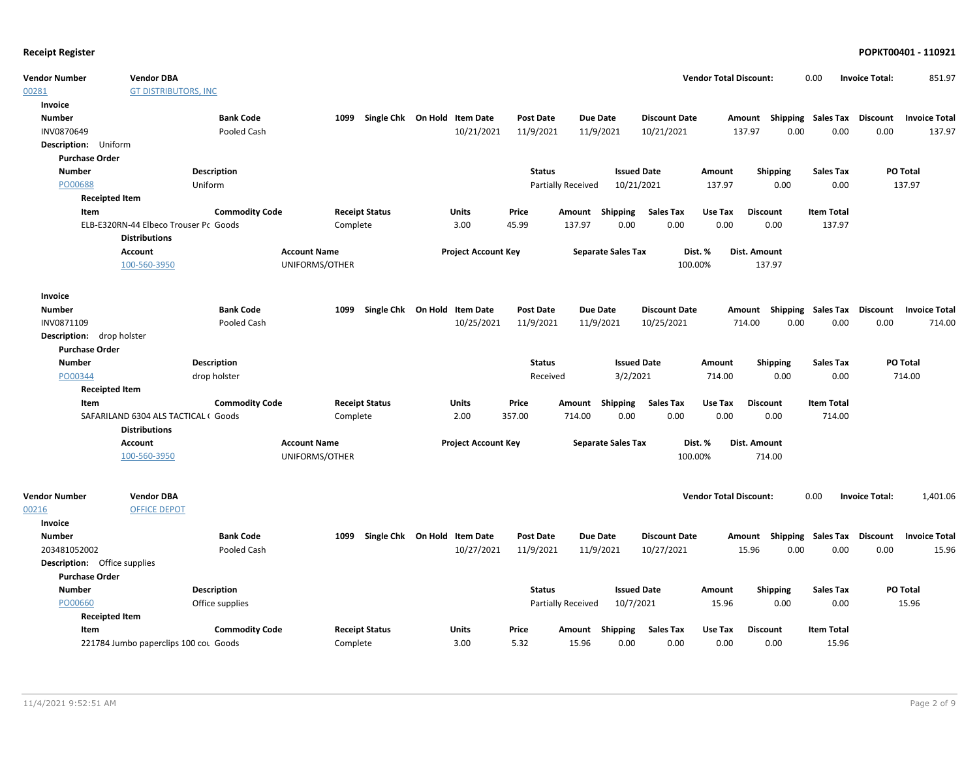| <b>Vendor Number</b>                | <b>Vendor DBA</b>                                             |                       |                     |                              |                            |                  |                    |                           |                      | <b>Vendor Total Discount:</b> |                                    | 0.00               | <b>Invoice Total:</b> | 851.97               |
|-------------------------------------|---------------------------------------------------------------|-----------------------|---------------------|------------------------------|----------------------------|------------------|--------------------|---------------------------|----------------------|-------------------------------|------------------------------------|--------------------|-----------------------|----------------------|
| 00281                               | <b>GT DISTRIBUTORS, INC</b>                                   |                       |                     |                              |                            |                  |                    |                           |                      |                               |                                    |                    |                       |                      |
| Invoice                             |                                                               |                       |                     |                              |                            |                  |                    |                           |                      |                               |                                    |                    |                       |                      |
| <b>Number</b>                       |                                                               | <b>Bank Code</b>      | 1099                | Single Chk On Hold Item Date |                            | <b>Post Date</b> | <b>Due Date</b>    |                           | <b>Discount Date</b> |                               | Amount Shipping Sales Tax Discount |                    |                       | <b>Invoice Total</b> |
| INV0870649                          |                                                               | Pooled Cash           |                     |                              | 10/21/2021                 | 11/9/2021        |                    | 11/9/2021                 | 10/21/2021           |                               | 0.00<br>137.97                     | 0.00               | 0.00                  | 137.97               |
| Description: Uniform                |                                                               |                       |                     |                              |                            |                  |                    |                           |                      |                               |                                    |                    |                       |                      |
| <b>Purchase Order</b>               |                                                               |                       |                     |                              |                            |                  |                    |                           |                      |                               |                                    |                    |                       |                      |
| <b>Number</b>                       |                                                               | <b>Description</b>    |                     |                              |                            | <b>Status</b>    |                    | <b>Issued Date</b>        |                      | Amount                        | <b>Shipping</b>                    | <b>Sales Tax</b>   |                       | <b>PO Total</b>      |
| PO00688                             |                                                               | Uniform               |                     |                              |                            |                  | Partially Received | 10/21/2021                |                      | 137.97                        | 0.00                               | 0.00               |                       | 137.97               |
| <b>Receipted Item</b>               |                                                               |                       |                     |                              |                            |                  |                    |                           |                      |                               |                                    |                    |                       |                      |
| Item                                |                                                               | <b>Commodity Code</b> |                     | <b>Receipt Status</b>        | Units                      | Price            | Amount             | Shipping                  | <b>Sales Tax</b>     | Use Tax                       | <b>Discount</b>                    | <b>Item Total</b>  |                       |                      |
|                                     | ELB-E320RN-44 Elbeco Trouser Pc Goods<br><b>Distributions</b> |                       | Complete            |                              | 3.00                       | 45.99            | 137.97             | 0.00                      | 0.00                 | 0.00                          | 0.00                               | 137.97             |                       |                      |
|                                     | Account                                                       |                       | <b>Account Name</b> |                              | <b>Project Account Key</b> |                  |                    | <b>Separate Sales Tax</b> |                      | Dist. %                       | Dist. Amount                       |                    |                       |                      |
|                                     | 100-560-3950                                                  |                       | UNIFORMS/OTHER      |                              |                            |                  |                    |                           | 100.00%              |                               | 137.97                             |                    |                       |                      |
| Invoice                             |                                                               |                       |                     |                              |                            |                  |                    |                           |                      |                               |                                    |                    |                       |                      |
| <b>Number</b>                       |                                                               | <b>Bank Code</b>      | 1099                | Single Chk On Hold Item Date |                            | <b>Post Date</b> | <b>Due Date</b>    |                           | <b>Discount Date</b> |                               | Amount Shipping Sales Tax Discount |                    |                       | <b>Invoice Total</b> |
| INV0871109                          |                                                               | Pooled Cash           |                     |                              | 10/25/2021                 | 11/9/2021        |                    | 11/9/2021                 | 10/25/2021           |                               | 0.00<br>714.00                     | 0.00               | 0.00                  | 714.00               |
| Description: drop holster           |                                                               |                       |                     |                              |                            |                  |                    |                           |                      |                               |                                    |                    |                       |                      |
| <b>Purchase Order</b>               |                                                               |                       |                     |                              |                            |                  |                    |                           |                      |                               |                                    |                    |                       |                      |
| <b>Number</b>                       |                                                               | <b>Description</b>    |                     |                              |                            | <b>Status</b>    |                    | <b>Issued Date</b>        |                      | Amount                        | <b>Shipping</b>                    | <b>Sales Tax</b>   |                       | PO Total             |
| PO00344                             |                                                               | drop holster          |                     |                              |                            | Received         |                    | 3/2/2021                  |                      | 714.00                        | 0.00                               | 0.00               |                       | 714.00               |
| <b>Receipted Item</b>               |                                                               |                       |                     |                              |                            |                  |                    |                           |                      |                               |                                    |                    |                       |                      |
| Item                                |                                                               | <b>Commodity Code</b> |                     | <b>Receipt Status</b>        | <b>Units</b>               | Price            | Amount Shipping    |                           | <b>Sales Tax</b>     | Use Tax                       | <b>Discount</b>                    | <b>Item Total</b>  |                       |                      |
|                                     | SAFARILAND 6304 ALS TACTICAL (Goods                           |                       | Complete            |                              | 2.00                       | 357.00           | 714.00             | 0.00                      | 0.00                 | 0.00                          | 0.00                               | 714.00             |                       |                      |
|                                     | <b>Distributions</b>                                          |                       |                     |                              |                            |                  |                    |                           |                      |                               |                                    |                    |                       |                      |
|                                     | <b>Account</b>                                                |                       | <b>Account Name</b> |                              | <b>Project Account Key</b> |                  |                    | <b>Separate Sales Tax</b> |                      | Dist. %                       | Dist. Amount                       |                    |                       |                      |
|                                     | 100-560-3950                                                  |                       | UNIFORMS/OTHER      |                              |                            |                  |                    |                           | 100.00%              |                               | 714.00                             |                    |                       |                      |
| <b>Vendor Number</b>                | <b>Vendor DBA</b>                                             |                       |                     |                              |                            |                  |                    |                           |                      | <b>Vendor Total Discount:</b> |                                    | 0.00               | <b>Invoice Total:</b> | 1,401.06             |
| 00216                               | <b>OFFICE DEPOT</b>                                           |                       |                     |                              |                            |                  |                    |                           |                      |                               |                                    |                    |                       |                      |
| Invoice                             |                                                               |                       |                     |                              |                            |                  |                    |                           |                      |                               |                                    |                    |                       |                      |
| <b>Number</b>                       |                                                               | <b>Bank Code</b>      | 1099                | Single Chk On Hold Item Date |                            | <b>Post Date</b> | <b>Due Date</b>    |                           | <b>Discount Date</b> |                               | Amount                             | Shipping Sales Tax | Discount              | <b>Invoice Total</b> |
| 203481052002                        |                                                               | Pooled Cash           |                     |                              | 10/27/2021                 | 11/9/2021        |                    | 11/9/2021                 | 10/27/2021           |                               | 0.00<br>15.96                      | 0.00               | 0.00                  | 15.96                |
| <b>Description:</b> Office supplies |                                                               |                       |                     |                              |                            |                  |                    |                           |                      |                               |                                    |                    |                       |                      |
| <b>Purchase Order</b>               |                                                               |                       |                     |                              |                            |                  |                    |                           |                      |                               |                                    |                    |                       |                      |
| <b>Number</b>                       |                                                               | <b>Description</b>    |                     |                              |                            | <b>Status</b>    |                    | <b>Issued Date</b>        |                      | Amount                        | <b>Shipping</b>                    | <b>Sales Tax</b>   |                       | PO Total             |
| PO00660                             |                                                               | Office supplies       |                     |                              |                            |                  | Partially Received | 10/7/2021                 |                      | 15.96                         | 0.00                               | 0.00               |                       | 15.96                |
| <b>Receipted Item</b>               |                                                               |                       |                     |                              |                            |                  |                    |                           |                      |                               |                                    |                    |                       |                      |
| Item                                |                                                               | <b>Commodity Code</b> |                     | <b>Receipt Status</b>        | Units                      | Price            | Amount             | Shipping                  | <b>Sales Tax</b>     | Use Tax                       | <b>Discount</b>                    | <b>Item Total</b>  |                       |                      |
|                                     | 221784 Jumbo paperclips 100 cou Goods                         |                       | Complete            |                              | 3.00                       | 5.32             | 15.96              | 0.00                      | 0.00                 | 0.00                          | 0.00                               | 15.96              |                       |                      |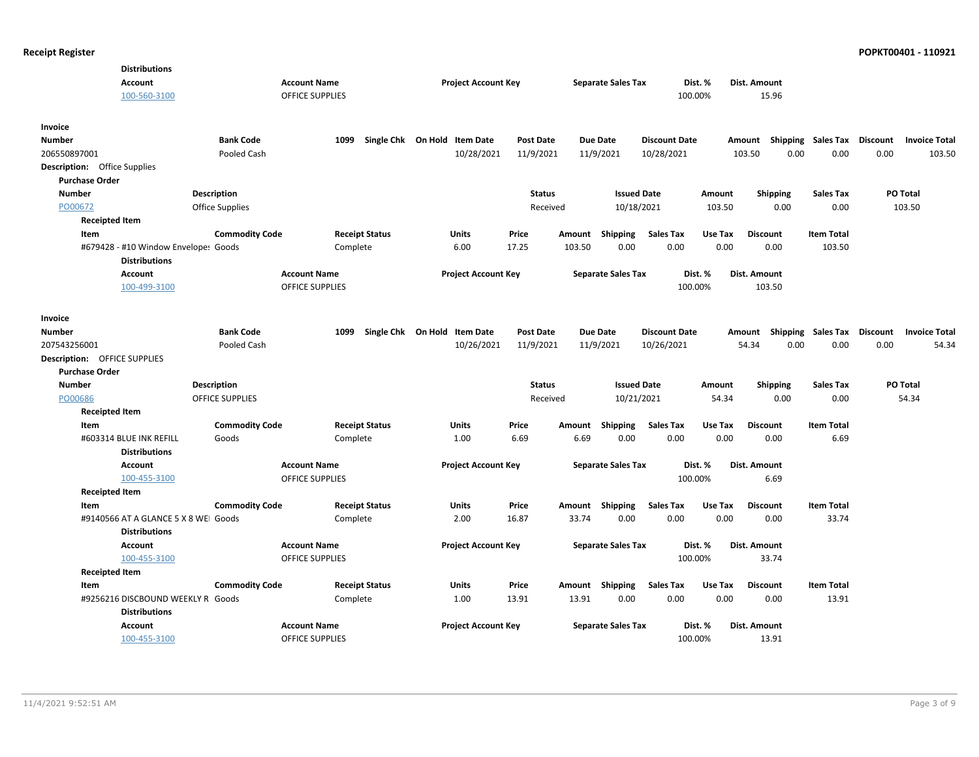| <b>Distributions</b>                                         |                    |                        |                        |                                   |                              |                  |        |                           |                      |         |                 |                           |                 |                      |
|--------------------------------------------------------------|--------------------|------------------------|------------------------|-----------------------------------|------------------------------|------------------|--------|---------------------------|----------------------|---------|-----------------|---------------------------|-----------------|----------------------|
| <b>Account</b>                                               |                    |                        | <b>Account Name</b>    |                                   | <b>Project Account Key</b>   |                  |        | <b>Separate Sales Tax</b> |                      | Dist. % | Dist. Amount    |                           |                 |                      |
| 100-560-3100                                                 |                    |                        | <b>OFFICE SUPPLIES</b> |                                   |                              |                  |        |                           |                      | 100.00% | 15.96           |                           |                 |                      |
| Invoice                                                      |                    |                        |                        |                                   |                              |                  |        |                           |                      |         |                 |                           |                 |                      |
| <b>Number</b>                                                |                    | <b>Bank Code</b>       |                        | 1099 Single Chk On Hold Item Date |                              | <b>Post Date</b> |        | <b>Due Date</b>           | <b>Discount Date</b> |         |                 | Amount Shipping Sales Tax | <b>Discount</b> | <b>Invoice Total</b> |
| 206550897001                                                 |                    | Pooled Cash            |                        |                                   | 10/28/2021                   | 11/9/2021        |        | 11/9/2021                 | 10/28/2021           |         | 103.50          | 0.00<br>0.00              | 0.00            | 103.50               |
| <b>Description:</b> Office Supplies                          |                    |                        |                        |                                   |                              |                  |        |                           |                      |         |                 |                           |                 |                      |
| <b>Purchase Order</b>                                        |                    |                        |                        |                                   |                              |                  |        |                           |                      |         |                 |                           |                 |                      |
| <b>Number</b>                                                | <b>Description</b> |                        |                        |                                   |                              | <b>Status</b>    |        | <b>Issued Date</b>        |                      | Amount  | <b>Shipping</b> | <b>Sales Tax</b>          |                 | PO Total             |
| PO00672                                                      |                    | Office Supplies        |                        |                                   |                              | Received         |        | 10/18/2021                |                      | 103.50  | 0.00            | 0.00                      |                 | 103.50               |
| <b>Receipted Item</b>                                        |                    |                        |                        |                                   |                              |                  |        |                           |                      |         |                 |                           |                 |                      |
| Item                                                         |                    | <b>Commodity Code</b>  |                        | <b>Receipt Status</b>             | Units                        | Price            | Amount | Shipping                  | <b>Sales Tax</b>     | Use Tax | <b>Discount</b> | <b>Item Total</b>         |                 |                      |
| #679428 - #10 Window Envelopes Goods<br><b>Distributions</b> |                    |                        |                        | Complete                          | 6.00                         | 17.25            | 103.50 | 0.00                      | 0.00                 | 0.00    | 0.00            | 103.50                    |                 |                      |
| Account                                                      |                    |                        | <b>Account Name</b>    |                                   | <b>Project Account Key</b>   |                  |        | <b>Separate Sales Tax</b> |                      | Dist. % | Dist. Amount    |                           |                 |                      |
| 100-499-3100                                                 |                    |                        | <b>OFFICE SUPPLIES</b> |                                   |                              |                  |        |                           |                      | 100.00% | 103.50          |                           |                 |                      |
| Invoice                                                      |                    |                        |                        |                                   |                              |                  |        |                           |                      |         |                 |                           |                 |                      |
| <b>Number</b>                                                |                    | <b>Bank Code</b>       |                        | 1099                              | Single Chk On Hold Item Date | <b>Post Date</b> |        | <b>Due Date</b>           | <b>Discount Date</b> |         |                 | Amount Shipping Sales Tax | Discount        | <b>Invoice Total</b> |
| 207543256001                                                 |                    | Pooled Cash            |                        |                                   | 10/26/2021                   | 11/9/2021        |        | 11/9/2021                 | 10/26/2021           |         | 54.34           | 0.00<br>0.00              | 0.00            | 54.34                |
| <b>Description: OFFICE SUPPLIES</b>                          |                    |                        |                        |                                   |                              |                  |        |                           |                      |         |                 |                           |                 |                      |
| <b>Purchase Order</b>                                        |                    |                        |                        |                                   |                              |                  |        |                           |                      |         |                 |                           |                 |                      |
| Number                                                       | <b>Description</b> |                        |                        |                                   |                              | <b>Status</b>    |        | <b>Issued Date</b>        |                      | Amount  | <b>Shipping</b> | <b>Sales Tax</b>          |                 | <b>PO Total</b>      |
| PO00686                                                      |                    | <b>OFFICE SUPPLIES</b> |                        |                                   |                              | Received         |        | 10/21/2021                |                      | 54.34   | 0.00            | 0.00                      |                 | 54.34                |
| <b>Receipted Item</b>                                        |                    |                        |                        |                                   |                              |                  |        |                           |                      |         |                 |                           |                 |                      |
| Item                                                         |                    | <b>Commodity Code</b>  |                        | <b>Receipt Status</b>             | Units                        | Price            | Amount | Shipping                  | <b>Sales Tax</b>     | Use Tax | <b>Discount</b> | <b>Item Total</b>         |                 |                      |
| #603314 BLUE INK REFILL                                      |                    | Goods                  |                        | Complete                          | 1.00                         | 6.69             | 6.69   | 0.00                      | 0.00                 | 0.00    | 0.00            | 6.69                      |                 |                      |
| <b>Distributions</b>                                         |                    |                        |                        |                                   |                              |                  |        |                           |                      |         |                 |                           |                 |                      |
| <b>Account</b>                                               |                    |                        | <b>Account Name</b>    |                                   | <b>Project Account Key</b>   |                  |        | <b>Separate Sales Tax</b> |                      | Dist. % | Dist. Amount    |                           |                 |                      |
| 100-455-3100                                                 |                    |                        | <b>OFFICE SUPPLIES</b> |                                   |                              |                  |        |                           |                      | 100.00% | 6.69            |                           |                 |                      |
| <b>Receipted Item</b>                                        |                    |                        |                        |                                   |                              |                  |        |                           |                      |         |                 |                           |                 |                      |
| Item                                                         |                    | <b>Commodity Code</b>  |                        | <b>Receipt Status</b>             | Units                        | Price            |        | Amount Shipping           | <b>Sales Tax</b>     | Use Tax | <b>Discount</b> | <b>Item Total</b>         |                 |                      |
| #9140566 AT A GLANCE 5 X 8 WEI Goods<br><b>Distributions</b> |                    |                        |                        | Complete                          | 2.00                         | 16.87            | 33.74  | 0.00                      | 0.00                 | 0.00    | 0.00            | 33.74                     |                 |                      |
| <b>Account</b>                                               |                    |                        | <b>Account Name</b>    |                                   | <b>Project Account Key</b>   |                  |        | <b>Separate Sales Tax</b> |                      | Dist. % | Dist. Amount    |                           |                 |                      |
| 100-455-3100                                                 |                    |                        | <b>OFFICE SUPPLIES</b> |                                   |                              |                  |        |                           |                      | 100.00% | 33.74           |                           |                 |                      |
| <b>Receipted Item</b>                                        |                    |                        |                        |                                   |                              |                  |        |                           |                      |         |                 |                           |                 |                      |
| Item                                                         |                    | <b>Commodity Code</b>  |                        | <b>Receipt Status</b>             | Units                        | Price            |        | Amount Shipping           | <b>Sales Tax</b>     | Use Tax | <b>Discount</b> | <b>Item Total</b>         |                 |                      |
| #9256216 DISCBOUND WEEKLY R Goods<br><b>Distributions</b>    |                    |                        |                        | Complete                          | 1.00                         | 13.91            | 13.91  | 0.00                      | 0.00                 | 0.00    | 0.00            | 13.91                     |                 |                      |
| <b>Account</b>                                               |                    |                        | <b>Account Name</b>    |                                   | <b>Project Account Key</b>   |                  |        | <b>Separate Sales Tax</b> |                      | Dist. % | Dist. Amount    |                           |                 |                      |
| 100-455-3100                                                 |                    |                        | <b>OFFICE SUPPLIES</b> |                                   |                              |                  |        |                           |                      | 100.00% | 13.91           |                           |                 |                      |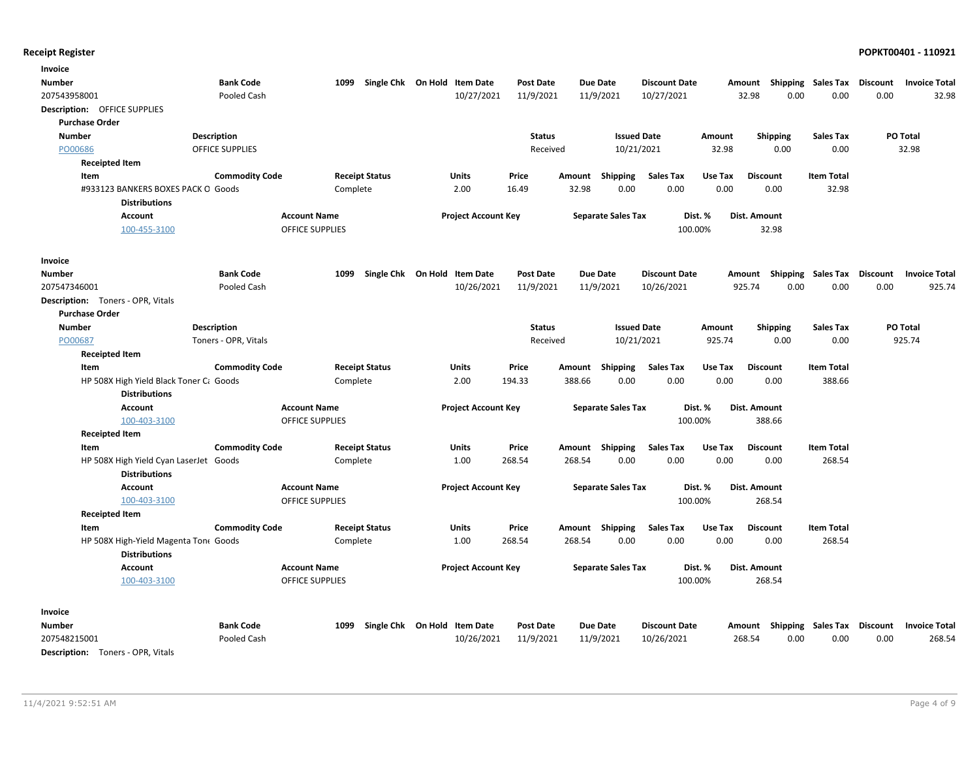| Invoice                                                       |                       |                        |                              |                            |                  |        |                           |                      |         |                                    |                           |          |                      |
|---------------------------------------------------------------|-----------------------|------------------------|------------------------------|----------------------------|------------------|--------|---------------------------|----------------------|---------|------------------------------------|---------------------------|----------|----------------------|
| Number                                                        | <b>Bank Code</b>      | 1099                   | Single Chk On Hold Item Date |                            | <b>Post Date</b> |        | Due Date                  | <b>Discount Date</b> |         | Amount Shipping Sales Tax          |                           | Discount | <b>Invoice Total</b> |
| 207543958001                                                  | Pooled Cash           |                        |                              | 10/27/2021                 | 11/9/2021        |        | 11/9/2021                 | 10/27/2021           |         | 32.98<br>0.00                      | 0.00                      | 0.00     | 32.98                |
| Description: OFFICE SUPPLIES                                  |                       |                        |                              |                            |                  |        |                           |                      |         |                                    |                           |          |                      |
| <b>Purchase Order</b>                                         |                       |                        |                              |                            |                  |        |                           |                      |         |                                    |                           |          |                      |
| <b>Number</b>                                                 | Description           |                        |                              |                            | <b>Status</b>    |        | <b>Issued Date</b>        |                      | Amount  | <b>Shipping</b>                    | <b>Sales Tax</b>          |          | PO Total             |
| PO00686                                                       | OFFICE SUPPLIES       |                        |                              |                            | Received         |        | 10/21/2021                |                      | 32.98   | 0.00                               | 0.00                      |          | 32.98                |
| <b>Receipted Item</b>                                         |                       |                        |                              |                            |                  |        |                           |                      |         |                                    |                           |          |                      |
| Item                                                          | <b>Commodity Code</b> |                        | <b>Receipt Status</b>        | Units                      | Price            | Amount | <b>Shipping</b>           | <b>Sales Tax</b>     | Use Tax | <b>Discount</b>                    | <b>Item Total</b>         |          |                      |
| #933123 BANKERS BOXES PACK O Goods                            |                       | Complete               |                              | 2.00                       | 16.49            | 32.98  | 0.00                      | 0.00                 | 0.00    | 0.00                               | 32.98                     |          |                      |
| <b>Distributions</b>                                          |                       |                        |                              |                            |                  |        |                           |                      |         |                                    |                           |          |                      |
| <b>Account</b>                                                |                       | <b>Account Name</b>    |                              | <b>Project Account Key</b> |                  |        | <b>Separate Sales Tax</b> | Dist. %              |         | Dist. Amount                       |                           |          |                      |
| 100-455-3100                                                  |                       | <b>OFFICE SUPPLIES</b> |                              |                            |                  |        |                           | 100.00%              |         | 32.98                              |                           |          |                      |
| Invoice                                                       |                       |                        |                              |                            |                  |        |                           |                      |         |                                    |                           |          |                      |
| Number                                                        | <b>Bank Code</b>      | 1099                   | Single Chk On Hold Item Date |                            | <b>Post Date</b> |        | Due Date                  | <b>Discount Date</b> |         | Amount                             | <b>Shipping Sales Tax</b> | Discount | <b>Invoice Total</b> |
| 207547346001                                                  | Pooled Cash           |                        |                              | 10/26/2021                 | 11/9/2021        |        | 11/9/2021                 | 10/26/2021           |         | 925.74<br>0.00                     | 0.00                      | 0.00     | 925.74               |
| <b>Description:</b> Toners - OPR, Vitals                      |                       |                        |                              |                            |                  |        |                           |                      |         |                                    |                           |          |                      |
| <b>Purchase Order</b>                                         |                       |                        |                              |                            |                  |        |                           |                      |         |                                    |                           |          |                      |
| <b>Number</b>                                                 | Description           |                        |                              |                            | <b>Status</b>    |        | <b>Issued Date</b>        |                      | Amount  | <b>Shipping</b>                    | <b>Sales Tax</b>          |          | PO Total             |
| PO00687                                                       | Toners - OPR, Vitals  |                        |                              |                            | Received         |        | 10/21/2021                |                      | 925.74  | 0.00                               | 0.00                      |          | 925.74               |
| <b>Receipted Item</b>                                         |                       |                        |                              |                            |                  |        |                           |                      |         |                                    |                           |          |                      |
| Item                                                          | <b>Commodity Code</b> |                        | <b>Receipt Status</b>        | Units                      | Price            | Amount | <b>Shipping</b>           | <b>Sales Tax</b>     | Use Tax | <b>Discount</b>                    | <b>Item Total</b>         |          |                      |
| HP 508X High Yield Black Toner Ct Goods                       |                       | Complete               |                              | 2.00                       | 194.33           | 388.66 | 0.00                      | 0.00                 | 0.00    | 0.00                               | 388.66                    |          |                      |
| <b>Distributions</b>                                          |                       |                        |                              |                            |                  |        |                           |                      |         |                                    |                           |          |                      |
| <b>Account</b>                                                |                       | <b>Account Name</b>    |                              | <b>Project Account Key</b> |                  |        | <b>Separate Sales Tax</b> | Dist. %              |         | Dist. Amount                       |                           |          |                      |
| 100-403-3100                                                  |                       | OFFICE SUPPLIES        |                              |                            |                  |        |                           | 100.00%              |         | 388.66                             |                           |          |                      |
| <b>Receipted Item</b>                                         |                       |                        |                              |                            |                  |        |                           |                      |         |                                    |                           |          |                      |
| Item                                                          | <b>Commodity Code</b> |                        | <b>Receipt Status</b>        | Units                      | Price            |        | Amount Shipping           | <b>Sales Tax</b>     | Use Tax | <b>Discount</b>                    | <b>Item Total</b>         |          |                      |
| HP 508X High Yield Cyan LaserJet Goods                        |                       | Complete               |                              | 1.00                       | 268.54           | 268.54 | 0.00                      | 0.00                 | 0.00    | 0.00                               | 268.54                    |          |                      |
| <b>Distributions</b>                                          |                       |                        |                              |                            |                  |        |                           |                      |         |                                    |                           |          |                      |
| <b>Account</b>                                                |                       | <b>Account Name</b>    |                              | <b>Project Account Key</b> |                  |        | <b>Separate Sales Tax</b> | Dist. %              |         | Dist. Amount                       |                           |          |                      |
| 100-403-3100                                                  |                       | OFFICE SUPPLIES        |                              |                            |                  |        |                           | 100.00%              |         | 268.54                             |                           |          |                      |
| <b>Receipted Item</b>                                         |                       |                        |                              |                            |                  |        |                           |                      |         |                                    |                           |          |                      |
| Item                                                          | <b>Commodity Code</b> |                        | <b>Receipt Status</b>        | Units                      | Price            |        | Amount Shipping           | <b>Sales Tax</b>     | Use Tax | <b>Discount</b>                    | <b>Item Total</b>         |          |                      |
| HP 508X High-Yield Magenta Ton( Goods<br><b>Distributions</b> |                       | Complete               |                              | 1.00                       | 268.54           | 268.54 | 0.00                      | 0.00                 | 0.00    | 0.00                               | 268.54                    |          |                      |
| <b>Account</b>                                                |                       | <b>Account Name</b>    |                              | <b>Project Account Key</b> |                  |        | <b>Separate Sales Tax</b> | Dist. %              |         | Dist. Amount                       |                           |          |                      |
| 100-403-3100                                                  |                       | OFFICE SUPPLIES        |                              |                            |                  |        |                           | 100.00%              |         | 268.54                             |                           |          |                      |
| Invoice                                                       |                       |                        |                              |                            |                  |        |                           |                      |         |                                    |                           |          |                      |
| Number                                                        | <b>Bank Code</b>      | 1099                   | Single Chk On Hold Item Date |                            | <b>Post Date</b> |        | Due Date                  | <b>Discount Date</b> |         | Amount Shipping Sales Tax Discount |                           |          | <b>Invoice Total</b> |
| 207548215001                                                  | Pooled Cash           |                        |                              | 10/26/2021                 | 11/9/2021        |        | 11/9/2021                 | 10/26/2021           |         | 268.54<br>0.00                     | 0.00                      | 0.00     | 268.54               |
| <b>Description:</b> Toners - OPR, Vitals                      |                       |                        |                              |                            |                  |        |                           |                      |         |                                    |                           |          |                      |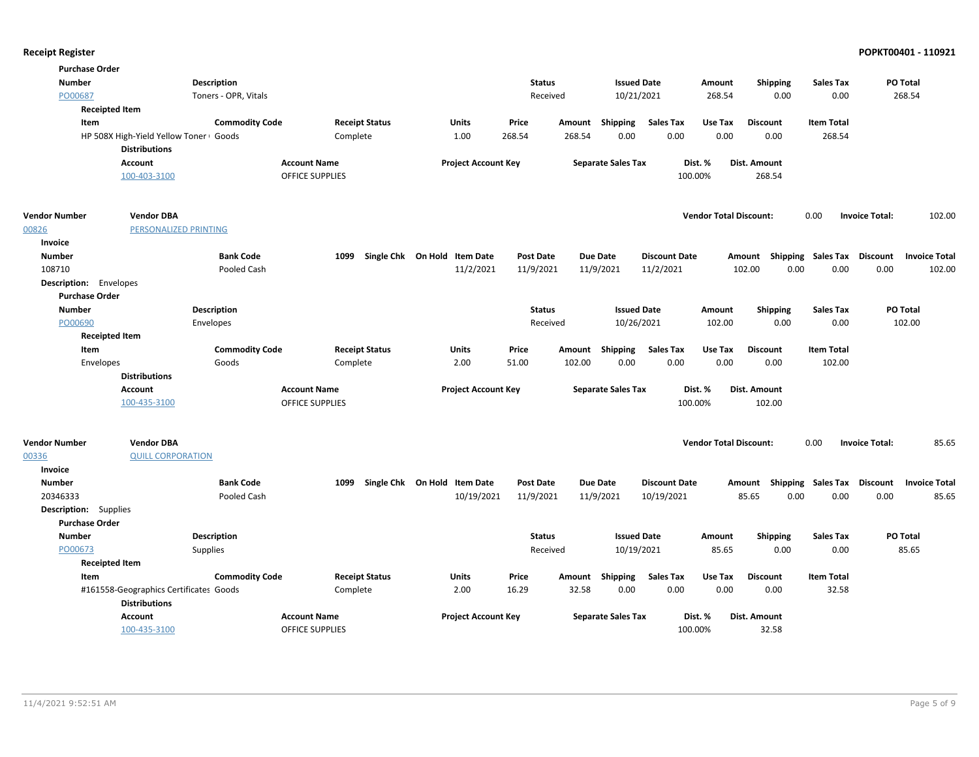| <b>Number</b>                |                                        | <b>Description</b>    |                        |                              | <b>Status</b>    |                           | <b>Issued Date</b>   | Amount                        | <b>Shipping</b>                    | <b>Sales Tax</b>            | PO Total                        |
|------------------------------|----------------------------------------|-----------------------|------------------------|------------------------------|------------------|---------------------------|----------------------|-------------------------------|------------------------------------|-----------------------------|---------------------------------|
| PO00687                      |                                        | Toners - OPR, Vitals  |                        |                              | Received         |                           | 10/21/2021           | 268.54                        | 0.00                               | 0.00                        | 268.54                          |
|                              | <b>Receipted Item</b>                  |                       |                        |                              |                  |                           |                      |                               |                                    |                             |                                 |
| Item                         |                                        | <b>Commodity Code</b> | <b>Receipt Status</b>  | Units                        | Price            | Amount<br>Shipping        | <b>Sales Tax</b>     | Use Tax                       | <b>Discount</b>                    | <b>Item Total</b>           |                                 |
|                              | HP 508X High-Yield Yellow Toner Goods  |                       | Complete               | 1.00                         | 268.54           | 0.00<br>268.54            | 0.00                 | 0.00                          | 0.00                               | 268.54                      |                                 |
|                              | <b>Distributions</b>                   |                       |                        |                              |                  |                           |                      |                               |                                    |                             |                                 |
|                              | <b>Account</b>                         |                       | <b>Account Name</b>    | <b>Project Account Key</b>   |                  | <b>Separate Sales Tax</b> |                      | Dist. %                       | Dist. Amount                       |                             |                                 |
|                              | 100-403-3100                           |                       | <b>OFFICE SUPPLIES</b> |                              |                  |                           |                      | 100.00%                       | 268.54                             |                             |                                 |
| <b>Vendor Number</b>         | <b>Vendor DBA</b>                      |                       |                        |                              |                  |                           |                      | <b>Vendor Total Discount:</b> |                                    | 0.00                        | 102.00<br><b>Invoice Total:</b> |
| 00826                        | PERSONALIZED PRINTING                  |                       |                        |                              |                  |                           |                      |                               |                                    |                             |                                 |
| Invoice                      |                                        |                       |                        |                              |                  |                           |                      |                               |                                    |                             |                                 |
| <b>Number</b>                |                                        | <b>Bank Code</b>      | 1099                   | Single Chk On Hold Item Date | <b>Post Date</b> | Due Date                  | <b>Discount Date</b> |                               | Amount Shipping Sales Tax Discount |                             | <b>Invoice Total</b>            |
| 108710                       |                                        | Pooled Cash           |                        | 11/2/2021                    | 11/9/2021        | 11/9/2021                 | 11/2/2021            |                               | 102.00<br>0.00                     | 0.00                        | 0.00<br>102.00                  |
| Description: Envelopes       |                                        |                       |                        |                              |                  |                           |                      |                               |                                    |                             |                                 |
| <b>Purchase Order</b>        |                                        |                       |                        |                              |                  |                           |                      |                               |                                    |                             |                                 |
| <b>Number</b>                |                                        | <b>Description</b>    |                        |                              | <b>Status</b>    |                           | <b>Issued Date</b>   | Amount                        | <b>Shipping</b>                    | <b>Sales Tax</b>            | PO Total                        |
| PO00690                      |                                        | Envelopes             |                        |                              | Received         |                           | 10/26/2021           | 102.00                        | 0.00                               | 0.00                        | 102.00                          |
|                              | <b>Receipted Item</b>                  |                       |                        |                              |                  |                           |                      |                               |                                    |                             |                                 |
| Item                         |                                        | <b>Commodity Code</b> | <b>Receipt Status</b>  | Units                        | Price            | Shipping<br>Amount        | <b>Sales Tax</b>     | Use Tax                       | <b>Discount</b>                    | <b>Item Total</b>           |                                 |
|                              | Envelopes                              | Goods                 | Complete               | 2.00                         | 51.00            | 102.00<br>0.00            | 0.00                 | 0.00                          | 0.00                               | 102.00                      |                                 |
|                              | <b>Distributions</b>                   |                       |                        |                              |                  |                           |                      |                               |                                    |                             |                                 |
|                              | <b>Account</b>                         |                       | <b>Account Name</b>    | <b>Project Account Key</b>   |                  | <b>Separate Sales Tax</b> |                      | Dist. %                       | <b>Dist. Amount</b>                |                             |                                 |
|                              | 100-435-3100                           |                       | <b>OFFICE SUPPLIES</b> |                              |                  |                           |                      | 100.00%                       | 102.00                             |                             |                                 |
| <b>Vendor Number</b>         | <b>Vendor DBA</b>                      |                       |                        |                              |                  |                           |                      | <b>Vendor Total Discount:</b> |                                    | 0.00                        | 85.65<br><b>Invoice Total:</b>  |
| 00336                        | <b>QUILL CORPORATION</b>               |                       |                        |                              |                  |                           |                      |                               |                                    |                             |                                 |
| Invoice                      |                                        |                       |                        |                              |                  |                           |                      |                               |                                    |                             |                                 |
| <b>Number</b>                |                                        | <b>Bank Code</b>      | 1099                   | Single Chk On Hold Item Date | <b>Post Date</b> | <b>Due Date</b>           | <b>Discount Date</b> |                               | Amount                             | Shipping Sales Tax Discount | <b>Invoice Total</b>            |
| 20346333                     |                                        | Pooled Cash           |                        | 10/19/2021                   | 11/9/2021        | 11/9/2021                 | 10/19/2021           |                               | 85.65<br>0.00                      | 0.00                        | 85.65<br>0.00                   |
| <b>Description:</b> Supplies |                                        |                       |                        |                              |                  |                           |                      |                               |                                    |                             |                                 |
| <b>Purchase Order</b>        |                                        |                       |                        |                              |                  |                           |                      |                               |                                    |                             |                                 |
| <b>Number</b>                |                                        | <b>Description</b>    |                        |                              | <b>Status</b>    |                           | <b>Issued Date</b>   | Amount                        | <b>Shipping</b>                    | <b>Sales Tax</b>            | PO Total                        |
| PO00673                      |                                        | <b>Supplies</b>       |                        |                              | Received         |                           | 10/19/2021           | 85.65                         | 0.00                               | 0.00                        | 85.65                           |
|                              | <b>Receipted Item</b>                  |                       |                        |                              |                  |                           |                      |                               |                                    |                             |                                 |
| Item                         |                                        | <b>Commodity Code</b> | <b>Receipt Status</b>  | Units                        | Price            | Shipping<br>Amount        | <b>Sales Tax</b>     | Use Tax                       | <b>Discount</b>                    | <b>Item Total</b>           |                                 |
|                              | #161558-Geographics Certificates Goods |                       | Complete               | 2.00                         | 16.29            | 32.58<br>0.00             | 0.00                 | 0.00                          | 0.00                               | 32.58                       |                                 |
|                              | <b>Distributions</b>                   |                       |                        |                              |                  |                           |                      |                               |                                    |                             |                                 |
|                              |                                        |                       |                        |                              |                  |                           |                      | Dist. %                       | Dist. Amount                       |                             |                                 |
|                              | <b>Account</b>                         |                       | <b>Account Name</b>    | <b>Project Account Key</b>   |                  | <b>Separate Sales Tax</b> |                      |                               |                                    |                             |                                 |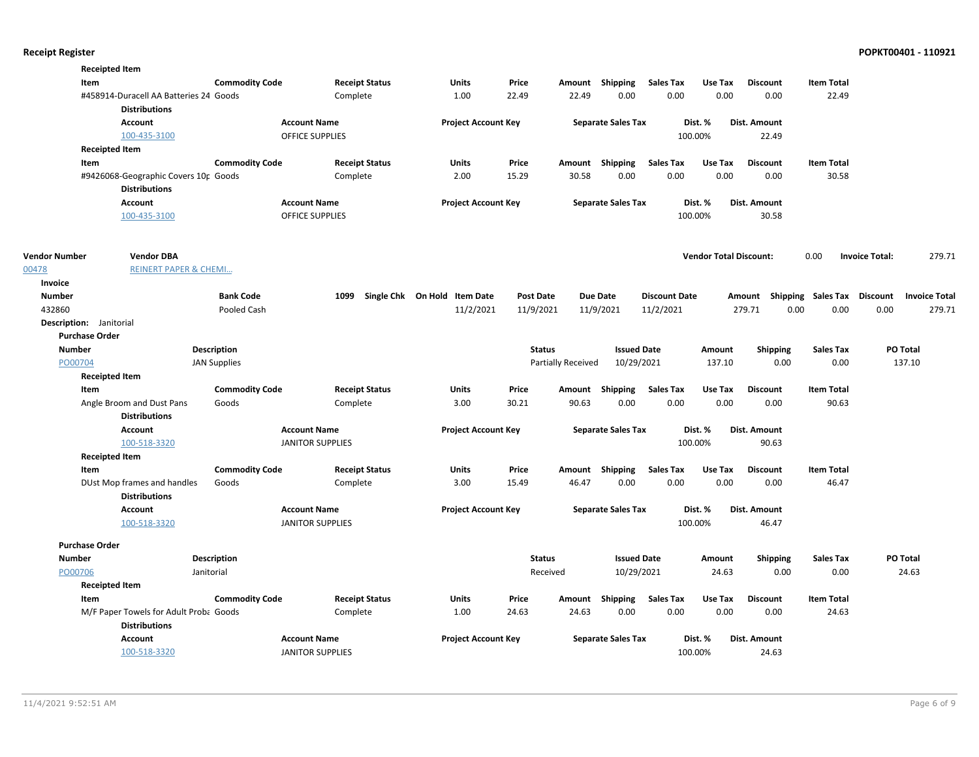|                      | <b>Receipted Item</b>                  |                       |                         |                              |                  |                    |                           |                      |                               |                     |                                    |                                 |
|----------------------|----------------------------------------|-----------------------|-------------------------|------------------------------|------------------|--------------------|---------------------------|----------------------|-------------------------------|---------------------|------------------------------------|---------------------------------|
|                      | Item                                   | <b>Commodity Code</b> | <b>Receipt Status</b>   | Units                        | Price            |                    | Amount Shipping           | Sales Tax            | Use Tax                       | <b>Discount</b>     | <b>Item Total</b>                  |                                 |
|                      | #458914-Duracell AA Batteries 24 Goods |                       | Complete                | 1.00                         | 22.49            | 22.49              | 0.00                      | 0.00                 | 0.00                          | 0.00                | 22.49                              |                                 |
|                      | <b>Distributions</b>                   |                       |                         |                              |                  |                    |                           |                      |                               |                     |                                    |                                 |
|                      | <b>Account</b>                         |                       | <b>Account Name</b>     | <b>Project Account Key</b>   |                  |                    | <b>Separate Sales Tax</b> |                      | Dist. %                       | Dist. Amount        |                                    |                                 |
|                      | 100-435-3100                           |                       | OFFICE SUPPLIES         |                              |                  |                    |                           |                      | 100.00%                       | 22.49               |                                    |                                 |
|                      | <b>Receipted Item</b>                  |                       |                         |                              |                  |                    |                           |                      |                               |                     |                                    |                                 |
|                      | Item                                   | <b>Commodity Code</b> | <b>Receipt Status</b>   | Units                        | Price            |                    | Amount Shipping           | <b>Sales Tax</b>     | Use Tax                       | <b>Discount</b>     | <b>Item Total</b>                  |                                 |
|                      | #9426068-Geographic Covers 10r Goods   |                       | Complete                | 2.00                         | 15.29            | 30.58              | 0.00                      | 0.00                 | 0.00                          | 0.00                | 30.58                              |                                 |
|                      | <b>Distributions</b>                   |                       |                         |                              |                  |                    |                           |                      |                               |                     |                                    |                                 |
|                      | <b>Account</b>                         |                       | <b>Account Name</b>     | <b>Project Account Key</b>   |                  |                    | <b>Separate Sales Tax</b> |                      | Dist. %                       | Dist. Amount        |                                    |                                 |
|                      | 100-435-3100                           |                       | OFFICE SUPPLIES         |                              |                  |                    |                           |                      | 100.00%                       | 30.58               |                                    |                                 |
| <b>Vendor Number</b> | <b>Vendor DBA</b>                      |                       |                         |                              |                  |                    |                           |                      | <b>Vendor Total Discount:</b> |                     | 0.00                               | 279.71<br><b>Invoice Total:</b> |
| 00478                | <b>REINERT PAPER &amp; CHEMI</b>       |                       |                         |                              |                  |                    |                           |                      |                               |                     |                                    |                                 |
| Invoice              |                                        |                       |                         |                              |                  |                    |                           |                      |                               |                     |                                    |                                 |
| <b>Number</b>        |                                        | <b>Bank Code</b>      | 1099                    | Single Chk On Hold Item Date | <b>Post Date</b> |                    | <b>Due Date</b>           | <b>Discount Date</b> |                               |                     | Amount Shipping Sales Tax Discount | <b>Invoice Total</b>            |
| 432860               |                                        | Pooled Cash           |                         | 11/2/2021                    | 11/9/2021        |                    | 11/9/2021                 | 11/2/2021            |                               | 279.71              | 0.00<br>0.00                       | 0.00<br>279.71                  |
|                      | Description: Janitorial                |                       |                         |                              |                  |                    |                           |                      |                               |                     |                                    |                                 |
|                      | <b>Purchase Order</b>                  |                       |                         |                              |                  |                    |                           |                      |                               |                     |                                    |                                 |
| <b>Number</b>        |                                        | <b>Description</b>    |                         |                              | <b>Status</b>    |                    | <b>Issued Date</b>        |                      | Amount                        | <b>Shipping</b>     | Sales Tax                          | PO Total                        |
| PO00704              |                                        | <b>JAN Supplies</b>   |                         |                              |                  | Partially Received | 10/29/2021                |                      | 137.10                        | 0.00                | 0.00                               | 137.10                          |
|                      | <b>Receipted Item</b>                  |                       |                         |                              |                  |                    |                           |                      |                               |                     |                                    |                                 |
|                      | Item                                   | <b>Commodity Code</b> | <b>Receipt Status</b>   | Units                        | Price            |                    | Amount Shipping           | <b>Sales Tax</b>     | Use Tax                       | <b>Discount</b>     | <b>Item Total</b>                  |                                 |
|                      | Angle Broom and Dust Pans              | Goods                 | Complete                | 3.00                         | 30.21            | 90.63              | 0.00                      | 0.00                 | 0.00                          | 0.00                | 90.63                              |                                 |
|                      | <b>Distributions</b>                   |                       |                         |                              |                  |                    |                           |                      |                               |                     |                                    |                                 |
|                      | Account                                |                       | <b>Account Name</b>     | <b>Project Account Key</b>   |                  |                    | <b>Separate Sales Tax</b> |                      | Dist. %                       | Dist. Amount        |                                    |                                 |
|                      | 100-518-3320                           |                       | <b>JANITOR SUPPLIES</b> |                              |                  |                    |                           |                      | 100.00%                       | 90.63               |                                    |                                 |
|                      | <b>Receipted Item</b>                  |                       |                         |                              |                  |                    |                           |                      |                               |                     |                                    |                                 |
|                      | Item                                   | <b>Commodity Code</b> | <b>Receipt Status</b>   | <b>Units</b>                 | Price            |                    | Amount Shipping           | <b>Sales Tax</b>     | Use Tax                       | <b>Discount</b>     | <b>Item Total</b>                  |                                 |
|                      | DUst Mop frames and handles            | Goods                 | Complete                | 3.00                         | 15.49            | 46.47              | 0.00                      | 0.00                 | 0.00                          | 0.00                | 46.47                              |                                 |
|                      | <b>Distributions</b>                   |                       |                         |                              |                  |                    |                           |                      |                               |                     |                                    |                                 |
|                      | Account                                |                       | <b>Account Name</b>     | <b>Project Account Key</b>   |                  |                    | <b>Separate Sales Tax</b> |                      | Dist. %                       | Dist. Amount        |                                    |                                 |
|                      | 100-518-3320                           |                       | <b>JANITOR SUPPLIES</b> |                              |                  |                    |                           |                      | 100.00%                       | 46.47               |                                    |                                 |
|                      | <b>Purchase Order</b>                  |                       |                         |                              |                  |                    |                           |                      |                               |                     |                                    |                                 |
| <b>Number</b>        |                                        | <b>Description</b>    |                         |                              | <b>Status</b>    |                    | <b>Issued Date</b>        |                      | Amount                        | <b>Shipping</b>     | <b>Sales Tax</b>                   | PO Total                        |
| PO00706              |                                        | Janitorial            |                         |                              |                  | Received           | 10/29/2021                |                      | 24.63                         | 0.00                | 0.00                               | 24.63                           |
|                      | <b>Receipted Item</b>                  |                       |                         |                              |                  |                    |                           |                      |                               |                     |                                    |                                 |
|                      | Item                                   | <b>Commodity Code</b> | <b>Receipt Status</b>   | Units                        | Price            |                    | Amount Shipping           | <b>Sales Tax</b>     | Use Tax                       | <b>Discount</b>     | <b>Item Total</b>                  |                                 |
|                      | M/F Paper Towels for Adult Proba Goods |                       | Complete                | 1.00                         | 24.63            | 24.63              | 0.00                      | 0.00                 | 0.00                          | 0.00                | 24.63                              |                                 |
|                      | <b>Distributions</b>                   |                       |                         |                              |                  |                    |                           |                      |                               |                     |                                    |                                 |
|                      | <b>Account</b>                         |                       | <b>Account Name</b>     | <b>Project Account Key</b>   |                  |                    | <b>Separate Sales Tax</b> |                      | Dist. %                       | <b>Dist. Amount</b> |                                    |                                 |
|                      | 100-518-3320                           |                       | <b>JANITOR SUPPLIES</b> |                              |                  |                    |                           |                      | 100.00%                       | 24.63               |                                    |                                 |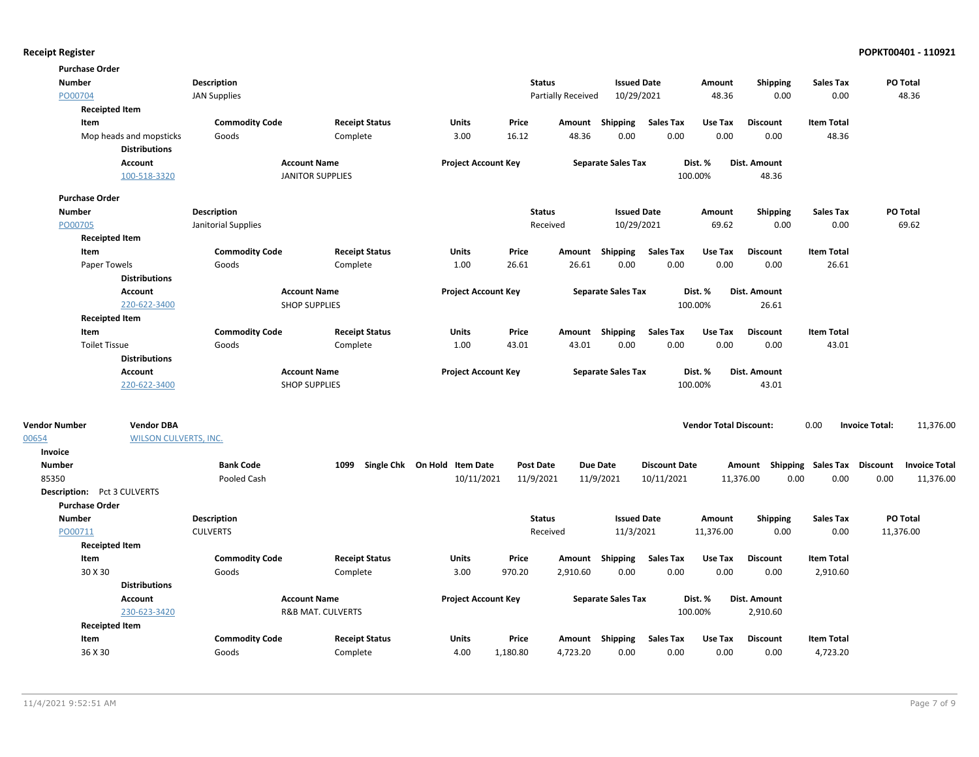| <b>Purchase Order</b>              |                              |                       |                              |                       |                              |          |                    |                           |                      |                               |                               |                   |                       |                      |
|------------------------------------|------------------------------|-----------------------|------------------------------|-----------------------|------------------------------|----------|--------------------|---------------------------|----------------------|-------------------------------|-------------------------------|-------------------|-----------------------|----------------------|
| <b>Number</b>                      |                              | Description           |                              |                       |                              |          | <b>Status</b>      | <b>Issued Date</b>        |                      | Amount                        | <b>Shipping</b>               | Sales Tax         |                       | PO Total             |
| PO00704                            |                              | <b>JAN Supplies</b>   |                              |                       |                              |          | Partially Received | 10/29/2021                |                      | 48.36                         | 0.00                          | 0.00              |                       | 48.36                |
|                                    | <b>Receipted Item</b>        |                       |                              |                       |                              |          |                    |                           |                      |                               |                               |                   |                       |                      |
| Item                               |                              | <b>Commodity Code</b> |                              | <b>Receipt Status</b> | <b>Units</b>                 | Price    |                    | Amount Shipping           | <b>Sales Tax</b>     | Use Tax                       | <b>Discount</b>               | <b>Item Total</b> |                       |                      |
|                                    | Mop heads and mopsticks      | Goods                 | Complete                     |                       | 3.00                         | 16.12    | 48.36              | 0.00                      | 0.00                 | 0.00                          | 0.00                          | 48.36             |                       |                      |
|                                    | <b>Distributions</b>         |                       |                              |                       |                              |          |                    |                           |                      |                               |                               |                   |                       |                      |
|                                    | Account                      |                       | <b>Account Name</b>          |                       | <b>Project Account Key</b>   |          |                    | <b>Separate Sales Tax</b> |                      | Dist. %                       | Dist. Amount                  |                   |                       |                      |
|                                    | 100-518-3320                 |                       | <b>JANITOR SUPPLIES</b>      |                       |                              |          |                    |                           |                      | 100.00%                       | 48.36                         |                   |                       |                      |
| <b>Purchase Order</b>              |                              |                       |                              |                       |                              |          |                    |                           |                      |                               |                               |                   |                       |                      |
| <b>Number</b>                      |                              | <b>Description</b>    |                              |                       |                              |          | <b>Status</b>      | <b>Issued Date</b>        |                      | Amount                        | <b>Shipping</b>               | <b>Sales Tax</b>  |                       | PO Total             |
| PO00705                            |                              | Janitorial Supplies   |                              |                       |                              |          | Received           | 10/29/2021                |                      | 69.62                         | 0.00                          | 0.00              |                       | 69.62                |
|                                    | <b>Receipted Item</b>        |                       |                              |                       |                              |          |                    |                           |                      |                               |                               |                   |                       |                      |
| Item                               |                              | <b>Commodity Code</b> |                              | <b>Receipt Status</b> | <b>Units</b>                 | Price    |                    | Amount Shipping           | Sales Tax            | Use Tax                       | <b>Discount</b>               | <b>Item Total</b> |                       |                      |
| Paper Towels                       |                              | Goods                 | Complete                     |                       | 1.00                         | 26.61    | 26.61              | 0.00                      | 0.00                 | 0.00                          | 0.00                          | 26.61             |                       |                      |
|                                    | <b>Distributions</b>         |                       |                              |                       |                              |          |                    |                           |                      |                               |                               |                   |                       |                      |
|                                    | Account                      |                       | <b>Account Name</b>          |                       | <b>Project Account Key</b>   |          |                    | <b>Separate Sales Tax</b> |                      | Dist. %                       | Dist. Amount                  |                   |                       |                      |
|                                    | 220-622-3400                 |                       | <b>SHOP SUPPLIES</b>         |                       |                              |          |                    |                           |                      | 100.00%                       | 26.61                         |                   |                       |                      |
|                                    | <b>Receipted Item</b>        |                       |                              |                       |                              |          |                    |                           |                      |                               |                               |                   |                       |                      |
| Item                               |                              | <b>Commodity Code</b> |                              | <b>Receipt Status</b> | Units                        | Price    |                    | Amount Shipping           | <b>Sales Tax</b>     | Use Tax                       | <b>Discount</b>               | <b>Item Total</b> |                       |                      |
| <b>Toilet Tissue</b>               |                              | Goods                 | Complete                     |                       | 1.00                         | 43.01    | 43.01              | 0.00                      | 0.00                 | 0.00                          | 0.00                          | 43.01             |                       |                      |
|                                    | <b>Distributions</b>         |                       |                              |                       |                              |          |                    |                           |                      |                               |                               |                   |                       |                      |
|                                    | <b>Account</b>               |                       | <b>Account Name</b>          |                       | <b>Project Account Key</b>   |          |                    | <b>Separate Sales Tax</b> |                      | Dist. %                       | Dist. Amount                  |                   |                       |                      |
|                                    | 220-622-3400                 |                       | <b>SHOP SUPPLIES</b>         |                       |                              |          |                    |                           |                      | 100.00%                       | 43.01                         |                   |                       |                      |
|                                    |                              |                       |                              |                       |                              |          |                    |                           |                      |                               |                               |                   |                       |                      |
| <b>Vendor Number</b>               | <b>Vendor DBA</b>            |                       |                              |                       |                              |          |                    |                           |                      | <b>Vendor Total Discount:</b> |                               | 0.00              | <b>Invoice Total:</b> | 11,376.00            |
| 00654                              | <b>WILSON CULVERTS, INC.</b> |                       |                              |                       |                              |          |                    |                           |                      |                               |                               |                   |                       |                      |
| Invoice<br><b>Number</b>           |                              | <b>Bank Code</b>      | 1099                         |                       | Single Chk On Hold Item Date |          | <b>Post Date</b>   | <b>Due Date</b>           | <b>Discount Date</b> |                               | Amount                        | Sales Tax         | <b>Discount</b>       | <b>Invoice Total</b> |
| 85350                              |                              | Pooled Cash           |                              |                       | 10/11/2021                   |          | 11/9/2021          | 11/9/2021                 | 10/11/2021           |                               | Shipping<br>11,376.00<br>0.00 | 0.00              | 0.00                  | 11,376.00            |
| <b>Description:</b> Pct 3 CULVERTS |                              |                       |                              |                       |                              |          |                    |                           |                      |                               |                               |                   |                       |                      |
| <b>Purchase Order</b>              |                              |                       |                              |                       |                              |          |                    |                           |                      |                               |                               |                   |                       |                      |
| <b>Number</b>                      |                              | <b>Description</b>    |                              |                       |                              |          | <b>Status</b>      | <b>Issued Date</b>        |                      | Amount                        | <b>Shipping</b>               | <b>Sales Tax</b>  |                       | PO Total             |
| PO00711                            |                              | <b>CULVERTS</b>       |                              |                       |                              |          | Received           | 11/3/2021                 |                      | 11,376.00                     | 0.00                          | 0.00              | 11,376.00             |                      |
|                                    | <b>Receipted Item</b>        |                       |                              |                       |                              |          |                    |                           |                      |                               |                               |                   |                       |                      |
| Item                               |                              | <b>Commodity Code</b> |                              | <b>Receipt Status</b> | Units                        | Price    | Amount             | Shipping                  | <b>Sales Tax</b>     | Use Tax                       | <b>Discount</b>               | <b>Item Total</b> |                       |                      |
| 30 X 30                            |                              | Goods                 | Complete                     |                       | 3.00                         | 970.20   | 2,910.60           | 0.00                      | 0.00                 | 0.00                          | 0.00                          | 2,910.60          |                       |                      |
|                                    | <b>Distributions</b>         |                       |                              |                       |                              |          |                    |                           |                      |                               |                               |                   |                       |                      |
|                                    | Account                      |                       | <b>Account Name</b>          |                       | <b>Project Account Key</b>   |          |                    | <b>Separate Sales Tax</b> |                      | Dist. %                       | Dist. Amount                  |                   |                       |                      |
|                                    | 230-623-3420                 |                       | <b>R&amp;B MAT. CULVERTS</b> |                       |                              |          |                    |                           |                      | 100.00%                       | 2,910.60                      |                   |                       |                      |
|                                    | <b>Receipted Item</b>        |                       |                              |                       |                              |          |                    |                           |                      |                               |                               |                   |                       |                      |
| Item                               |                              | <b>Commodity Code</b> |                              | <b>Receipt Status</b> | Units                        | Price    |                    | Amount Shipping           | <b>Sales Tax</b>     | Use Tax                       | <b>Discount</b>               | <b>Item Total</b> |                       |                      |
| 36 X 30                            |                              | Goods                 | Complete                     |                       | 4.00                         | 1,180.80 | 4,723.20           | 0.00                      | 0.00                 | 0.00                          | 0.00                          | 4,723.20          |                       |                      |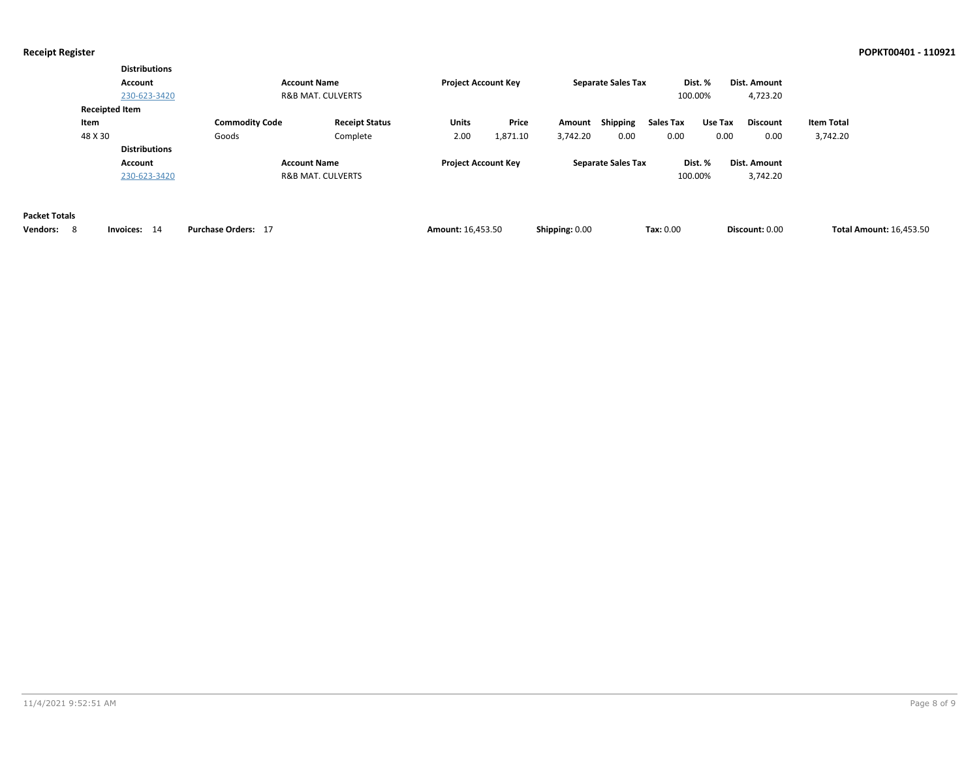|                                              | <b>Distributions</b><br>Account<br>230-623-3420 |                                | <b>Account Name</b><br><b>R&amp;B MAT. CULVERTS</b> | <b>Project Account Key</b> |                   |                    | <b>Separate Sales Tax</b> | 100.00%           | Dist. %         | Dist. Amount<br>4,723.20 |                               |                                |
|----------------------------------------------|-------------------------------------------------|--------------------------------|-----------------------------------------------------|----------------------------|-------------------|--------------------|---------------------------|-------------------|-----------------|--------------------------|-------------------------------|--------------------------------|
| Item<br>48 X 30                              | <b>Receipted Item</b>                           | <b>Commodity Code</b><br>Goods | <b>Receipt Status</b><br>Complete                   | Units<br>2.00              | Price<br>1,871.10 | Amount<br>3,742.20 | Shipping<br>0.00          | Sales Tax<br>0.00 | Use Tax<br>0.00 | <b>Discount</b><br>0.00  | <b>Item Total</b><br>3,742.20 |                                |
|                                              | <b>Distributions</b><br>Account<br>230-623-3420 |                                | <b>Account Name</b><br><b>R&amp;B MAT. CULVERTS</b> | <b>Project Account Key</b> |                   |                    | <b>Separate Sales Tax</b> | 100.00%           | Dist. %         | Dist. Amount<br>3,742.20 |                               |                                |
| <b>Packet Totals</b><br>8<br><b>Vendors:</b> | Invoices: 14                                    | Purchase Orders: 17            |                                                     | <b>Amount: 16,453.50</b>   |                   | Shipping: 0.00     |                           | Tax: 0.00         |                 | Discount: 0.00           |                               | <b>Total Amount: 16,453.50</b> |